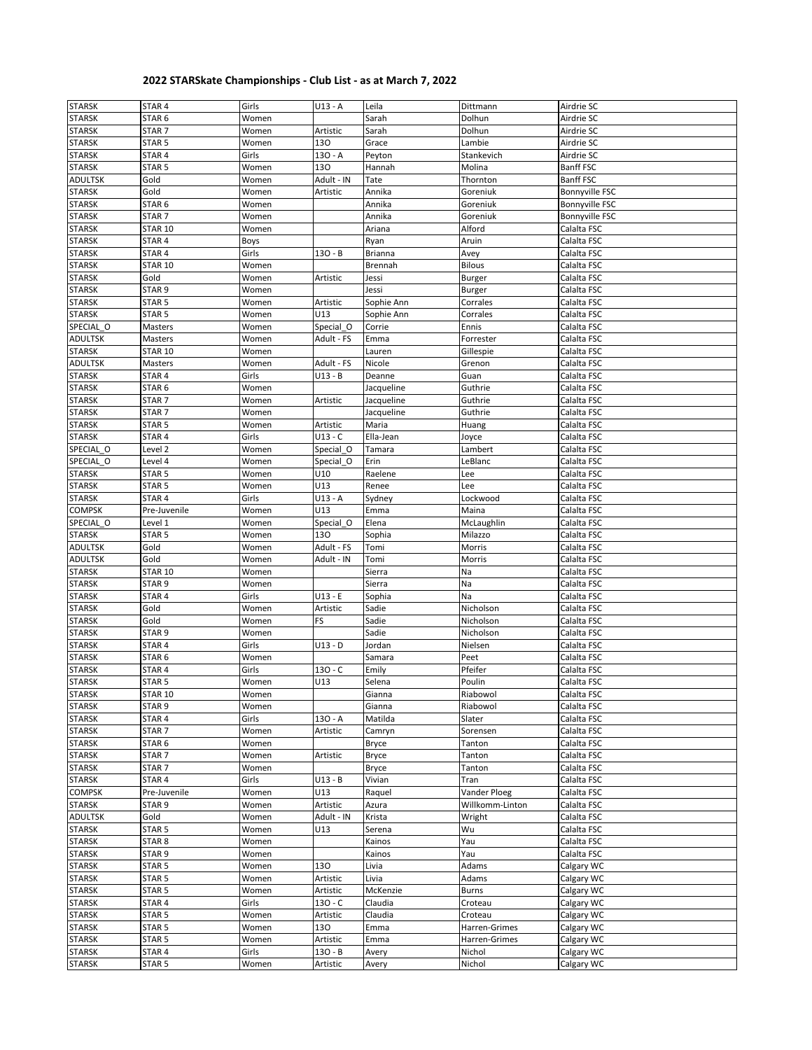## **2022 STARSkate Championships - Club List - as at March 7, 2022**

| <b>STARSK</b>  | STAR <sub>4</sub> | Girls | $U13 - A$  | Leila        | Dittmann        | Airdrie SC            |
|----------------|-------------------|-------|------------|--------------|-----------------|-----------------------|
| <b>STARSK</b>  | STAR 6            | Women |            | Sarah        | Dolhun          | Airdrie SC            |
| <b>STARSK</b>  | STAR 7            | Women | Artistic   | Sarah        | Dolhun          | Airdrie SC            |
| <b>STARSK</b>  | STAR <sub>5</sub> | Women | 130        | Grace        | Lambie          | Airdrie SC            |
| <b>STARSK</b>  | STAR 4            | Girls | $130 - A$  | Peyton       | Stankevich      | Airdrie SC            |
|                |                   |       | 130        |              | Molina          |                       |
| <b>STARSK</b>  | STAR <sub>5</sub> | Women |            | Hannah       |                 | <b>Banff FSC</b>      |
| <b>ADULTSK</b> | Gold              | Women | Adult - IN | Tate         | Thornton        | <b>Banff FSC</b>      |
| <b>STARSK</b>  | Gold              | Women | Artistic   | Annika       | Goreniuk        | Bonnyville FSC        |
| <b>STARSK</b>  | STAR <sub>6</sub> | Women |            | Annika       | Goreniuk        | Bonnyville FSC        |
| <b>STARSK</b>  | STAR <sub>7</sub> | Women |            | Annika       | Goreniuk        | <b>Bonnyville FSC</b> |
| <b>STARSK</b>  | <b>STAR 10</b>    | Women |            | Ariana       | Alford          | Calalta FSC           |
| <b>STARSK</b>  | STAR 4            | Boys  |            | Ryan         | Aruin           | Calalta FSC           |
| <b>STARSK</b>  | STAR 4            | Girls | $130 - B$  | Brianna      | Avey            | Calalta FSC           |
|                |                   |       |            |              |                 |                       |
| <b>STARSK</b>  | STAR 10           | Women |            | Brennah      | <b>Bilous</b>   | Calalta FSC           |
| <b>STARSK</b>  | Gold              | Women | Artistic   | Jessi        | <b>Burger</b>   | Calalta FSC           |
| <b>STARSK</b>  | STAR 9            | Women |            | Jessi        | <b>Burger</b>   | Calalta FSC           |
| <b>STARSK</b>  | STAR <sub>5</sub> | Women | Artistic   | Sophie Ann   | Corrales        | Calalta FSC           |
| <b>STARSK</b>  | STAR <sub>5</sub> | Women | U13        | Sophie Ann   | Corrales        | Calalta FSC           |
| SPECIAL O      | Masters           | Women | Special O  | Corrie       | Ennis           | Calalta FSC           |
| <b>ADULTSK</b> | Masters           | Women | Adult - FS | Emma         | Forrester       | Calalta FSC           |
| <b>STARSK</b>  | STAR 10           | Women |            | Lauren       | Gillespie       | Calalta FSC           |
|                |                   |       |            |              |                 |                       |
| <b>ADULTSK</b> | Masters           | Women | Adult - FS | Nicole       | Grenon          | Calalta FSC           |
| <b>STARSK</b>  | STAR 4            | Girls | U13 - B    | Deanne       | Guan            | Calalta FSC           |
| <b>STARSK</b>  | STAR <sub>6</sub> | Women |            | Jacqueline   | Guthrie         | Calalta FSC           |
| <b>STARSK</b>  | STAR <sub>7</sub> | Women | Artistic   | Jacqueline   | Guthrie         | Calalta FSC           |
| <b>STARSK</b>  | STAR <sub>7</sub> | Women |            | Jacqueline   | Guthrie         | Calalta FSC           |
| <b>STARSK</b>  | STAR <sub>5</sub> | Women | Artistic   | Maria        | Huang           | Calalta FSC           |
| <b>STARSK</b>  | STAR 4            | Girls | $U13 - C$  | Ella-Jean    | Joyce           | Calalta FSC           |
| SPECIAL_O      | Level 2           | Women | Special O  | Tamara       | Lambert         | Calalta FSC           |
|                |                   |       |            |              |                 |                       |
| SPECIAL O      | Level 4           | Women | Special O  | Erin         | LeBlanc         | Calalta FSC           |
| <b>STARSK</b>  | STAR <sub>5</sub> | Women | U10        | Raelene      | Lee             | Calalta FSC           |
| <b>STARSK</b>  | STAR <sub>5</sub> | Women | U13        | Renee        | Lee             | Calalta FSC           |
| <b>STARSK</b>  | STAR 4            | Girls | $U13 - A$  | Sydney       | Lockwood        | Calalta FSC           |
| <b>COMPSK</b>  | Pre-Juvenile      | Women | U13        | Emma         | Maina           | Calalta FSC           |
| SPECIAL_O      | Level 1           | Women | Special_O  | Elena        | McLaughlin      | Calalta FSC           |
| <b>STARSK</b>  | STAR 5            | Women | 130        | Sophia       | Milazzo         | Calalta FSC           |
| <b>ADULTSK</b> | Gold              | Women | Adult - FS | Tomi         | Morris          | Calalta FSC           |
|                |                   |       |            |              |                 |                       |
| <b>ADULTSK</b> | Gold              | Women | Adult - IN | Tomi         | Morris          | Calalta FSC           |
| <b>STARSK</b>  | <b>STAR 10</b>    | Women |            | Sierra       | Na              | Calalta FSC           |
| <b>STARSK</b>  | STAR <sub>9</sub> | Women |            | Sierra       | Na              | Calalta FSC           |
| <b>STARSK</b>  | STAR 4            | Girls | $U13 - E$  | Sophia       | Na              | Calalta FSC           |
| <b>STARSK</b>  | Gold              | Women | Artistic   | Sadie        | Nicholson       | Calalta FSC           |
| <b>STARSK</b>  | Gold              | Women | FS         | Sadie        | Nicholson       | Calalta FSC           |
| <b>STARSK</b>  | STAR <sub>9</sub> | Women |            | Sadie        | Nicholson       | Calalta FSC           |
| STARSK         | STAR 4            | Girls | U13 - D    | Jordan       | Nielsen         | Calalta FSC           |
| <b>STARSK</b>  | STAR 6            | Women |            | Samara       | Peet            | Calalta FSC           |
| <b>STARSK</b>  | STAR 4            | Girls | $130 - C$  | Emily        | Pfeifer         | Calalta FSC           |
|                |                   |       |            |              |                 |                       |
| <b>STARSK</b>  | STAR <sub>5</sub> | Women | U13        | Selena       | Poulin          | Calalta FSC           |
| <b>STARSK</b>  | STAR 10           | Women |            | Gianna       | Riabowol        | Calalta FSC           |
| <b>STARSK</b>  | STAR <sub>9</sub> | Women |            | Gianna       | Riabowol        | Calalta FSC           |
| <b>STARSK</b>  | STAR 4            | Girls | 130 - A    | Matilda      | Slater          | Calalta FSC           |
| <b>STARSK</b>  | STAR <sub>7</sub> | Women | Artistic   | Camryn       | Sorensen        | Calalta FSC           |
| <b>STARSK</b>  | STAR <sub>6</sub> | Women |            | <b>Bryce</b> | Tanton          | Calalta FSC           |
| <b>STARSK</b>  | STAR <sub>7</sub> | Women | Artistic   | <b>Bryce</b> | Tanton          | Calalta FSC           |
| <b>STARSK</b>  | STAR <sub>7</sub> | Women |            | Bryce        | Tanton          | Calalta FSC           |
| <b>STARSK</b>  |                   |       |            |              |                 |                       |
|                | STAR 4            | Girls | $U13 - B$  | Vivian       | Tran            | Calalta FSC           |
| <b>COMPSK</b>  | Pre-Juvenile      | Women | U13        | Raquel       | Vander Ploeg    | Calalta FSC           |
| <b>STARSK</b>  | STAR <sub>9</sub> | Women | Artistic   | Azura        | Willkomm-Linton | Calalta FSC           |
| <b>ADULTSK</b> | Gold              | Women | Adult - IN | Krista       | Wright          | Calalta FSC           |
| <b>STARSK</b>  | STAR <sub>5</sub> | Women | U13        | Serena       | Wu              | Calalta FSC           |
| <b>STARSK</b>  | STAR <sub>8</sub> | Women |            | Kainos       | Yau             | Calalta FSC           |
| <b>STARSK</b>  | STAR <sub>9</sub> | Women |            | Kainos       | Yau             | Calalta FSC           |
| <b>STARSK</b>  | STAR <sub>5</sub> | Women | 130        | Livia        | Adams           | Calgary WC            |
| <b>STARSK</b>  | STAR <sub>5</sub> | Women | Artistic   | Livia        | Adams           | Calgary WC            |
| <b>STARSK</b>  | STAR <sub>5</sub> |       |            |              | <b>Burns</b>    |                       |
|                |                   | Women | Artistic   | McKenzie     |                 | Calgary WC            |
| <b>STARSK</b>  | STAR 4            | Girls | $130 - C$  | Claudia      | Croteau         | Calgary WC            |
| <b>STARSK</b>  | STAR <sub>5</sub> | Women | Artistic   | Claudia      | Croteau         | Calgary WC            |
| <b>STARSK</b>  | STAR <sub>5</sub> | Women | 130        | Emma         | Harren-Grimes   | Calgary WC            |
| <b>STARSK</b>  | STAR <sub>5</sub> | Women | Artistic   | Emma         | Harren-Grimes   | Calgary WC            |
| <b>STARSK</b>  | STAR 4            | Girls | $130 - B$  | Avery        | Nichol          | Calgary WC            |
| <b>STARSK</b>  | STAR 5            | Women | Artistic   | Avery        | Nichol          | Calgary WC            |
|                |                   |       |            |              |                 |                       |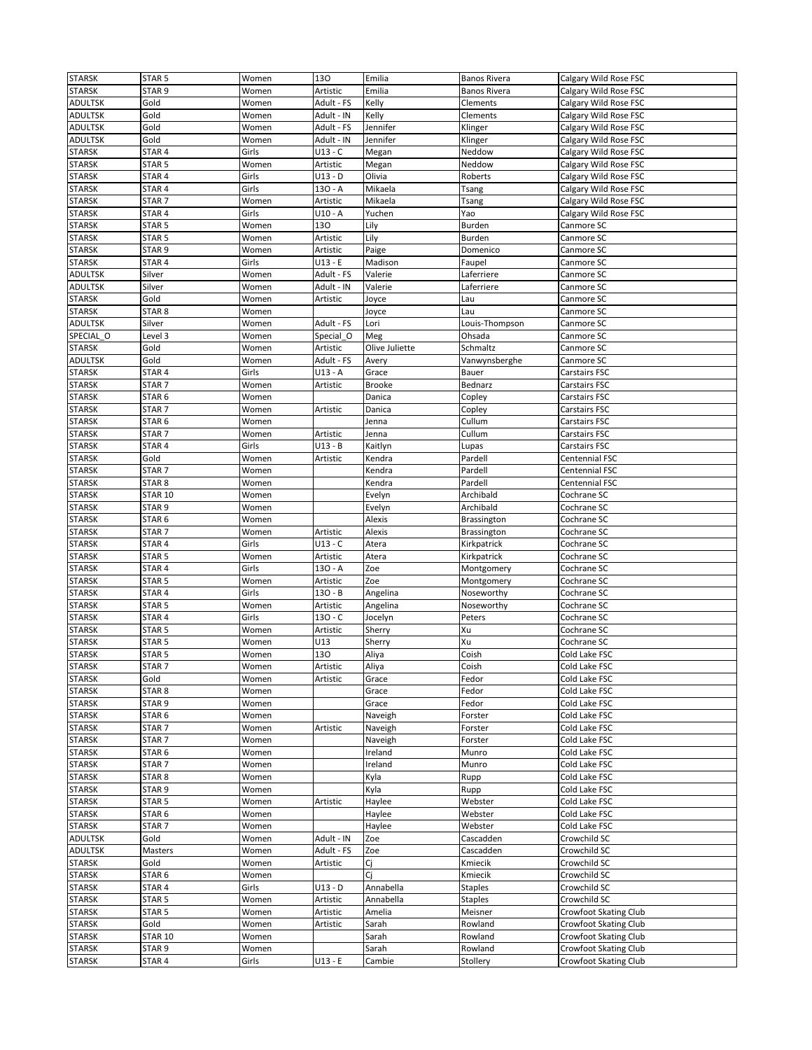| <b>STARSK</b>  | STAR <sub>5</sub> | Women | 130        | Emilia         | <b>Banos Rivera</b> | Calgary Wild Rose FSC |
|----------------|-------------------|-------|------------|----------------|---------------------|-----------------------|
| <b>STARSK</b>  | STAR 9            | Women | Artistic   | Emilia         | <b>Banos Rivera</b> | Calgary Wild Rose FSC |
| ADULTSK        | Gold              | Women | Adult - FS | Kelly          | Clements            | Calgary Wild Rose FSC |
| ADULTSK        | Gold              | Women | Adult - IN | Kelly          | Clements            | Calgary Wild Rose FSC |
| ADULTSK        |                   |       | Adult - FS | Jennifer       |                     |                       |
|                | Gold              | Women |            |                | Klinger             | Calgary Wild Rose FSC |
| ADULTSK        | Gold              | Women | Adult - IN | Jennifer       | Klinger             | Calgary Wild Rose FSC |
| <b>STARSK</b>  | STAR <sub>4</sub> | Girls | U13 - C    | Megan          | Neddow              | Calgary Wild Rose FSC |
| <b>STARSK</b>  | STAR <sub>5</sub> | Women | Artistic   | Megan          | Neddow              | Calgary Wild Rose FSC |
| <b>STARSK</b>  | STAR 4            | Girls | U13 - D    | Olivia         | Roberts             | Calgary Wild Rose FSC |
| <b>STARSK</b>  | STAR <sub>4</sub> | Girls | 130 - A    | Mikaela        | Tsang               | Calgary Wild Rose FSC |
| <b>STARSK</b>  | STAR <sub>7</sub> | Women | Artistic   | Mikaela        | Tsang               | Calgary Wild Rose FSC |
| <b>STARSK</b>  | STAR 4            | Girls | U10 - A    | Yuchen         | Yao                 | Calgary Wild Rose FSC |
| <b>STARSK</b>  | STAR <sub>5</sub> | Women | 130        | Lily           | Burden              | Canmore SC            |
| <b>STARSK</b>  | STAR 5            | Women | Artistic   | Lily           | Burden              | Canmore SC            |
| <b>STARSK</b>  | STAR <sub>9</sub> | Women | Artistic   | Paige          | Domenico            | Canmore SC            |
| <b>STARSK</b>  | STAR 4            | Girls | U13 - E    | Madison        | Faupel              |                       |
|                |                   |       |            |                |                     | Canmore SC            |
| ADULTSK        | Silver            | Women | Adult - FS | Valerie        | Laferriere          | Canmore SC            |
| <b>ADULTSK</b> | Silver            | Women | Adult - IN | Valerie        | Laferriere          | Canmore SC            |
| <b>STARSK</b>  | Gold              | Women | Artistic   | Joyce          | Lau                 | Canmore SC            |
| <b>STARSK</b>  | STAR <sub>8</sub> | Women |            | Joyce          | Lau                 | Canmore SC            |
| ADULTSK        | Silver            | Women | Adult - FS | Lori           | Louis-Thompson      | Canmore SC            |
| SPECIAL O      | Level 3           | Women | Special O  | Meg            | Ohsada              | Canmore SC            |
| <b>STARSK</b>  | Gold              | Women | Artistic   | Olive Juliette | Schmaltz            | Canmore SC            |
| ADULTSK        | Gold              | Women | Adult - FS | Avery          | Vanwynsberghe       | Canmore SC            |
| <b>STARSK</b>  | STAR 4            | Girls | U13 - A    | Grace          | Bauer               | Carstairs FSC         |
|                |                   |       |            |                |                     |                       |
| <b>STARSK</b>  | STAR <sub>7</sub> | Women | Artistic   | <b>Brooke</b>  | Bednarz             | Carstairs FSC         |
| <b>STARSK</b>  | STAR <sub>6</sub> | Women |            | Danica         | Copley              | Carstairs FSC         |
| <b>STARSK</b>  | STAR <sub>7</sub> | Women | Artistic   | Danica         | Copley              | Carstairs FSC         |
| STARSK         | STAR 6            | Women |            | Jenna          | Cullum              | Carstairs FSC         |
| <b>STARSK</b>  | STAR <sub>7</sub> | Women | Artistic   | Jenna          | Cullum              | Carstairs FSC         |
| <b>STARSK</b>  | STAR <sub>4</sub> | Girls | $U13 - B$  | Kaitlyn        | Lupas               | Carstairs FSC         |
| <b>STARSK</b>  | Gold              | Women | Artistic   | Kendra         | Pardell             | Centennial FSC        |
| <b>STARSK</b>  | STAR <sub>7</sub> | Women |            | Kendra         | Pardell             | Centennial FSC        |
| <b>STARSK</b>  | STAR <sub>8</sub> | Women |            | Kendra         | Pardell             | Centennial FSC        |
| <b>STARSK</b>  | <b>STAR 10</b>    | Women |            | Evelyn         | Archibald           | Cochrane SC           |
|                |                   |       |            |                |                     |                       |
| STARSK         | STAR <sub>9</sub> | Women |            | Evelyn         | Archibald           | Cochrane SC           |
| <b>STARSK</b>  | STAR <sub>6</sub> | Women |            | Alexis         | <b>Brassington</b>  | Cochrane SC           |
| <b>STARSK</b>  | STAR <sub>7</sub> | Women | Artistic   | Alexis         | <b>Brassington</b>  | Cochrane SC           |
| <b>STARSK</b>  | STAR 4            | Girls | U13 - C    | Atera          | Kirkpatrick         | Cochrane SC           |
| <b>STARSK</b>  | STAR <sub>5</sub> | Women | Artistic   | Atera          | Kirkpatrick         | Cochrane SC           |
| <b>STARSK</b>  |                   |       |            | Zoe            | Montgomery          | Cochrane SC           |
|                | STAR <sub>4</sub> | Girls | 13O - A    |                |                     |                       |
|                |                   |       |            |                |                     |                       |
| <b>STARSK</b>  | STAR 5            | Women | Artistic   | Zoe            | Montgomery          | Cochrane SC           |
| <b>STARSK</b>  | STAR 4            | Girls | 130 - B    | Angelina       | Noseworthy          | Cochrane SC           |
| <b>STARSK</b>  | STAR 5            | Women | Artistic   | Angelina       | Noseworthy          | Cochrane SC           |
| <b>STARSK</b>  | STAR 4            | Girls | $130 - C$  | Jocelyn        | Peters              | Cochrane SC           |
| <b>STARSK</b>  | STAR 5            | Women | Artistic   | Sherry         | Xu                  | Cochrane SC           |
| <b>STARSK</b>  | STAR 5            | Women | U13        | Sherry         | Xu                  | Cochrane SC           |
| <b>STARSK</b>  | STAR <sub>5</sub> | Women | 130        | Aliya          | Coish               | Cold Lake FSC         |
| <b>STARSK</b>  | STAR <sub>7</sub> | women | Artistic   | Aliya          | COISN               | Cold Lake FSC         |
| <b>STARSK</b>  | Gold              | Women | Artistic   | Grace          | Fedor               | Cold Lake FSC         |
| <b>STARSK</b>  | STAR <sub>8</sub> | Women |            | Grace          | Fedor               | Cold Lake FSC         |
| <b>STARSK</b>  | STAR <sub>9</sub> | Women |            | Grace          | Fedor               | Cold Lake FSC         |
|                |                   |       |            |                |                     |                       |
| <b>STARSK</b>  | STAR <sub>6</sub> | Women |            | Naveigh        | Forster             | Cold Lake FSC         |
| <b>STARSK</b>  | STAR <sub>7</sub> | Women | Artistic   | Naveigh        | Forster             | Cold Lake FSC         |
| <b>STARSK</b>  | STAR 7            | Women |            | Naveigh        | Forster             | Cold Lake FSC         |
| <b>STARSK</b>  | STAR <sub>6</sub> | Women |            | Ireland        | Munro               | Cold Lake FSC         |
| <b>STARSK</b>  | STAR <sub>7</sub> | Women |            | Ireland        | Munro               | Cold Lake FSC         |
| <b>STARSK</b>  | STAR <sub>8</sub> | Women |            | Kyla           | Rupp                | Cold Lake FSC         |
| <b>STARSK</b>  | STAR 9            | Women |            | Kyla           | Rupp                | Cold Lake FSC         |
| STARSK         | STAR <sub>5</sub> | Women | Artistic   | Haylee         | Webster             | Cold Lake FSC         |
| <b>STARSK</b>  | STAR 6            | Women |            | Haylee         | Webster             | Cold Lake FSC         |
|                | STAR <sub>7</sub> | Women |            |                | Webster             |                       |
| STARSK         |                   |       |            | Haylee         |                     | Cold Lake FSC         |
| ADULTSK        | Gold              | Women | Adult - IN | Zoe            | Cascadden           | Crowchild SC          |
| ADULTSK        | Masters           | Women | Adult - FS | Zoe            | Cascadden           | Crowchild SC          |
| <b>STARSK</b>  | Gold              | Women | Artistic   | Cj             | Kmiecik             | Crowchild SC          |
| <b>STARSK</b>  | STAR 6            | Women |            | Cj             | Kmiecik             | Crowchild SC          |
| <b>STARSK</b>  | STAR 4            | Girls | U13 - D    | Annabella      | <b>Staples</b>      | Crowchild SC          |
| <b>STARSK</b>  | STAR <sub>5</sub> | Women | Artistic   | Annabella      | <b>Staples</b>      | Crowchild SC          |
| <b>STARSK</b>  | STAR <sub>5</sub> | Women | Artistic   | Amelia         | Meisner             | Crowfoot Skating Club |
| <b>STARSK</b>  | Gold              | Women | Artistic   | Sarah          | Rowland             | Crowfoot Skating Club |
| <b>STARSK</b>  | <b>STAR 10</b>    | Women |            | Sarah          | Rowland             | Crowfoot Skating Club |
| <b>STARSK</b>  | STAR <sub>9</sub> | Women |            | Sarah          | Rowland             | Crowfoot Skating Club |
| <b>STARSK</b>  | STAR 4            | Girls | U13 - E    | Cambie         | Stollery            | Crowfoot Skating Club |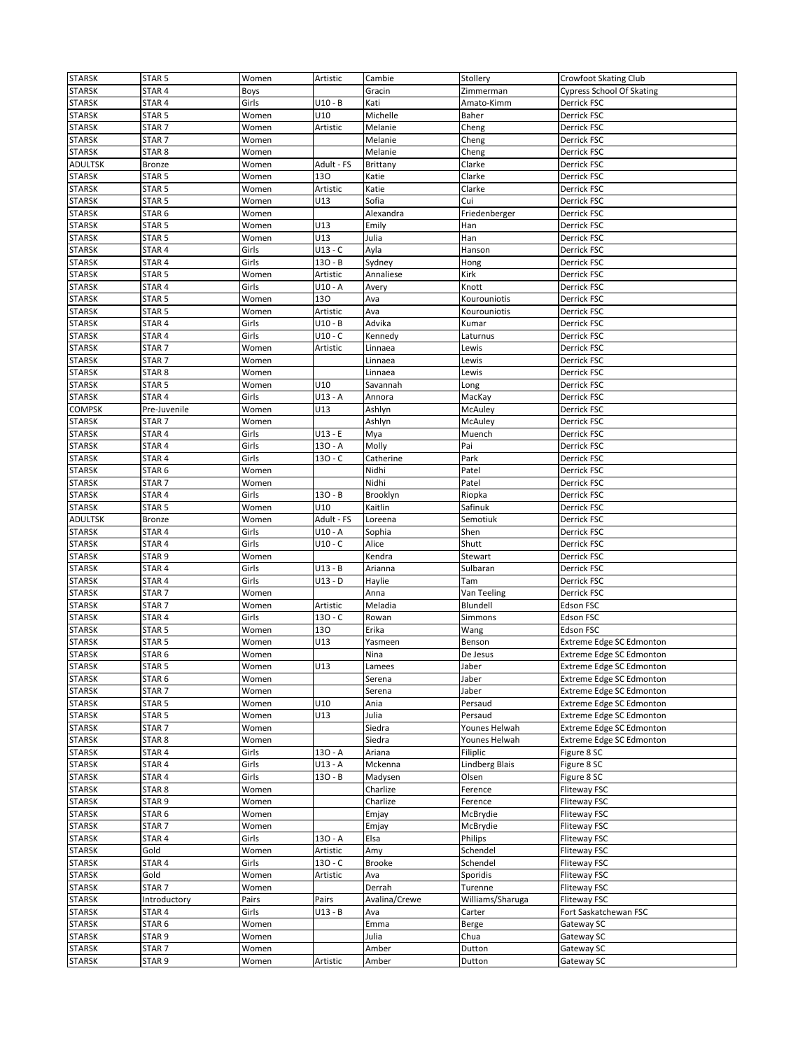| <b>STARSK</b>  | STAR <sub>5</sub> | Women | Artistic   | Cambie        | Stollery         | <b>Crowfoot Skating Club</b>     |
|----------------|-------------------|-------|------------|---------------|------------------|----------------------------------|
| <b>STARSK</b>  | STAR 4            | Boys  |            | Gracin        | Zimmerman        | <b>Cypress School Of Skating</b> |
| <b>STARSK</b>  | STAR 4            | Girls | U10 - B    | Kati          | Amato-Kimm       | Derrick FSC                      |
|                |                   |       | U10        | Michelle      |                  |                                  |
| <b>STARSK</b>  | STAR <sub>5</sub> | Women |            |               | Baher            | Derrick FSC                      |
| <b>STARSK</b>  | STAR <sub>7</sub> | Women | Artistic   | Melanie       | Cheng            | Derrick FSC                      |
| <b>STARSK</b>  | STAR <sub>7</sub> | Women |            | Melanie       | Cheng            | Derrick FSC                      |
| <b>STARSK</b>  | STAR 8            | Women |            | Melanie       | Cheng            | Derrick FSC                      |
| <b>ADULTSK</b> | <b>Bronze</b>     | Women | Adult - FS | Brittany      | Clarke           | Derrick FSC                      |
| <b>STARSK</b>  | STAR <sub>5</sub> | Women | 130        | Katie         | Clarke           | Derrick FSC                      |
| <b>STARSK</b>  | STAR <sub>5</sub> | Women | Artistic   | Katie         | Clarke           | Derrick FSC                      |
| <b>STARSK</b>  | STAR 5            | Women | U13        | Sofia         | Cui              | Derrick FSC                      |
| <b>STARSK</b>  | STAR <sub>6</sub> | Women |            | Alexandra     | Friedenberger    | Derrick FSC                      |
|                |                   |       | U13        |               |                  |                                  |
| <b>STARSK</b>  | STAR <sub>5</sub> | Women |            | Emily         | Han              | Derrick FSC                      |
| <b>STARSK</b>  | STAR <sub>5</sub> | Women | U13        | Julia         | Han              | Derrick FSC                      |
| <b>STARSK</b>  | STAR 4            | Girls | U13 - C    | Ayla          | Hanson           | Derrick FSC                      |
| <b>STARSK</b>  | STAR 4            | Girls | 130 - B    | Sydney        | Hong             | Derrick FSC                      |
| <b>STARSK</b>  | STAR <sub>5</sub> | Women | Artistic   | Annaliese     | Kirk             | Derrick FSC                      |
| <b>STARSK</b>  | STAR 4            | Girls | U10 - A    | Avery         | Knott            | Derrick FSC                      |
| <b>STARSK</b>  | STAR <sub>5</sub> | Women | 130        | Ava           | Kourouniotis     | Derrick FSC                      |
| <b>STARSK</b>  | STAR <sub>5</sub> | Women | Artistic   | Ava           | Kourouniotis     | Derrick FSC                      |
|                |                   |       | $U10 - B$  |               |                  |                                  |
| <b>STARSK</b>  | STAR <sub>4</sub> | Girls |            | Advika        | Kumar            | Derrick FSC                      |
| <b>STARSK</b>  | STAR 4            | Girls | $U10 - C$  | Kennedy       | Laturnus         | Derrick FSC                      |
| <b>STARSK</b>  | STAR <sub>7</sub> | Women | Artistic   | Linnaea       | Lewis            | Derrick FSC                      |
| <b>STARSK</b>  | STAR <sub>7</sub> | Women |            | Linnaea       | Lewis            | Derrick FSC                      |
| <b>STARSK</b>  | STAR <sub>8</sub> | Women |            | Linnaea       | Lewis            | Derrick FSC                      |
| <b>STARSK</b>  | STAR <sub>5</sub> | Women | U10        | Savannah      | Long             | Derrick FSC                      |
| <b>STARSK</b>  | STAR 4            | Girls | U13 - A    | Annora        | MacKay           | Derrick FSC                      |
| <b>COMPSK</b>  | Pre-Juvenile      | Women | U13        | Ashlyn        | McAuley          | Derrick FSC                      |
| STARSK         | STAR <sub>7</sub> | Women |            | Ashlyn        | McAuley          | Derrick FSC                      |
|                |                   |       |            |               |                  |                                  |
| <b>STARSK</b>  | STAR 4            | Girls | $U13 - E$  | Mya           | Muench           | Derrick FSC                      |
| <b>STARSK</b>  | STAR 4            | Girls | 130 - A    | Molly         | Pai              | Derrick FSC                      |
| <b>STARSK</b>  | STAR <sub>4</sub> | Girls | 130 - C    | Catherine     | Park             | Derrick FSC                      |
| <b>STARSK</b>  | STAR 6            | Women |            | Nidhi         | Patel            | Derrick FSC                      |
| <b>STARSK</b>  | STAR <sub>7</sub> | Women |            | Nidhi         | Patel            | Derrick FSC                      |
| <b>STARSK</b>  | STAR <sub>4</sub> | Girls | 130 - B    | Brooklyn      | Riopka           | Derrick FSC                      |
| <b>STARSK</b>  | STAR <sub>5</sub> | Women | U10        | Kaitlin       | Safinuk          | Derrick FSC                      |
| <b>ADULTSK</b> | Bronze            | Women | Adult - FS | Loreena       | Semotiuk         | Derrick FSC                      |
|                |                   |       | U10 - A    |               |                  |                                  |
| <b>STARSK</b>  | STAR <sub>4</sub> | Girls |            | Sophia        | Shen             | Derrick FSC                      |
| <b>STARSK</b>  | STAR 4            | Girls | U10 - C    | Alice         | Shutt            | Derrick FSC                      |
| <b>STARSK</b>  | STAR <sub>9</sub> | Women |            | Kendra        | Stewart          | Derrick FSC                      |
| <b>STARSK</b>  | STAR 4            | Girls | U13 - B    | Arianna       | Sulbaran         | Derrick FSC                      |
| <b>STARSK</b>  | STAR 4            | Girls | U13 - D    | Haylie        | Tam              | Derrick FSC                      |
| <b>STARSK</b>  | STAR <sub>7</sub> | Women |            | Anna          | Van Teeling      | Derrick FSC                      |
| <b>STARSK</b>  | STAR <sub>7</sub> | Women | Artistic   | Meladia       | Blundell         | <b>Edson FSC</b>                 |
| <b>STARSK</b>  | STAR <sub>4</sub> | Girls | $130 - C$  | Rowan         | Simmons          | Edson FSC                        |
| <b>STARSK</b>  | STAR <sub>5</sub> | Women | 130        | Erika         | Wang             | Edson FSC                        |
|                |                   |       |            |               |                  |                                  |
| <b>STARSK</b>  | STAR <sub>5</sub> | Women | U13        | Yasmeen       | Benson           | <b>Extreme Edge SC Edmonton</b>  |
| <b>STARSK</b>  | STAR <sub>6</sub> | Women |            | Nina          | De Jesus         | <b>Extreme Edge SC Edmonton</b>  |
| <b>STARSK</b>  | STAR 5            | Women | U13        | Lamees        | Jaber            | Extreme Edge SC Edmonton         |
| <b>STARSK</b>  | STAR 6            | Women |            | Serena        | Jaber            | Extreme Edge SC Edmonton         |
| <b>STARSK</b>  | STAR <sub>7</sub> | Women |            | Serena        | Jaber            | <b>Extreme Edge SC Edmonton</b>  |
| <b>STARSK</b>  | STAR <sub>5</sub> | Women | U10        | Ania          | Persaud          | Extreme Edge SC Edmonton         |
| <b>STARSK</b>  | STAR <sub>5</sub> | Women | U13        | Julia         | Persaud          | Extreme Edge SC Edmonton         |
| <b>STARSK</b>  | STAR <sub>7</sub> | Women |            | Siedra        | Younes Helwah    | Extreme Edge SC Edmonton         |
| <b>STARSK</b>  | STAR <sub>8</sub> | Women |            | Siedra        | Younes Helwah    | <b>Extreme Edge SC Edmonton</b>  |
|                |                   |       |            |               |                  |                                  |
| <b>STARSK</b>  | STAR 4            | Girls | 130 - A    | Ariana        | Filiplic         | Figure 8 SC                      |
| <b>STARSK</b>  | STAR 4            | Girls | U13 - A    | Mckenna       | Lindberg Blais   | Figure 8 SC                      |
| <b>STARSK</b>  | STAR 4            | Girls | 130 - B    | Madysen       | Olsen            | Figure 8 SC                      |
| <b>STARSK</b>  | STAR 8            | Women |            | Charlize      | Ference          | <b>Fliteway FSC</b>              |
| <b>STARSK</b>  | STAR <sub>9</sub> | Women |            | Charlize      | Ference          | <b>Fliteway FSC</b>              |
| <b>STARSK</b>  | STAR 6            | Women |            | Emjay         | McBrydie         | Fliteway FSC                     |
| <b>STARSK</b>  | STAR <sub>7</sub> | Women |            | Emjay         | McBrydie         | Fliteway FSC                     |
| <b>STARSK</b>  | STAR 4            | Girls | 130 - A    | Elsa          | Philips          | Fliteway FSC                     |
| <b>STARSK</b>  | Gold              |       |            |               | Schendel         | Fliteway FSC                     |
|                |                   | Women | Artistic   | Amy           |                  |                                  |
| <b>STARSK</b>  | STAR 4            | Girls | 130 - C    | <b>Brooke</b> | Schendel         | Fliteway FSC                     |
| <b>STARSK</b>  | Gold              | Women | Artistic   | Ava           | Sporidis         | Fliteway FSC                     |
| <b>STARSK</b>  | STAR <sub>7</sub> | Women |            | Derrah        | Turenne          | Fliteway FSC                     |
| <b>STARSK</b>  | Introductory      | Pairs | Pairs      | Avalina/Crewe | Williams/Sharuga | Fliteway FSC                     |
| <b>STARSK</b>  | STAR 4            | Girls | U13 - B    | Ava           | Carter           | Fort Saskatchewan FSC            |
| <b>STARSK</b>  | STAR 6            | Women |            | Emma          | Berge            | Gateway SC                       |
| <b>STARSK</b>  | STAR 9            | Women |            | Julia         | Chua             | Gateway SC                       |
|                |                   |       |            |               |                  |                                  |
| <b>STARSK</b>  | STAR 7            | Women |            | Amber         | Dutton           | Gateway SC                       |
| <b>STARSK</b>  | STAR <sub>9</sub> | Women | Artistic   | Amber         | Dutton           | Gateway SC                       |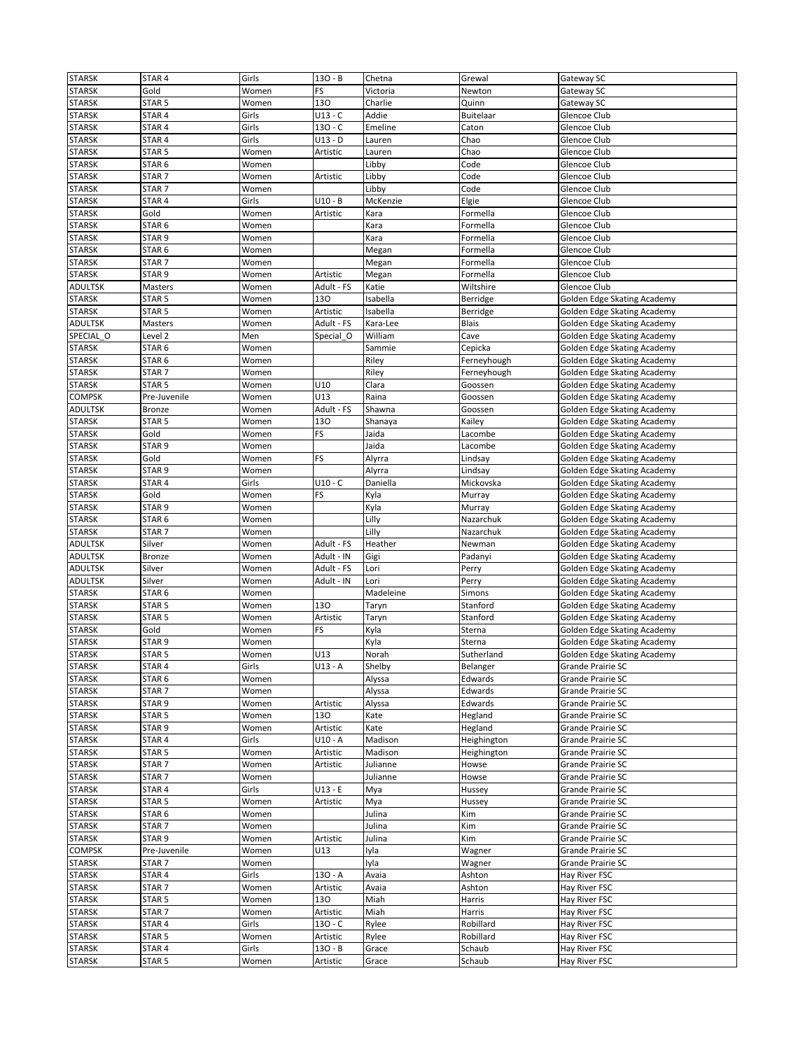| <b>STARSK</b>  | STAR 4            | Girls | $130 - B$  | Chetna    | Grewal           | Gateway SC                  |
|----------------|-------------------|-------|------------|-----------|------------------|-----------------------------|
| <b>STARSK</b>  | Gold              | Women | FS         | Victoria  | Newton           | Gateway SC                  |
| <b>STARSK</b>  | STAR 5            | Women | 130        | Charlie   | Quinn            | Gateway SC                  |
| <b>STARSK</b>  | STAR <sub>4</sub> | Girls | $U13 - C$  | Addie     | <b>Buitelaar</b> | Glencoe Club                |
|                |                   |       | $130 - C$  |           |                  |                             |
| <b>STARSK</b>  | STAR 4            | Girls |            | Emeline   | Caton            | Glencoe Club                |
| <b>STARSK</b>  | STAR <sub>4</sub> | Girls | $U13 - D$  | Lauren    | Chao             | Glencoe Club                |
| <b>STARSK</b>  | STAR <sub>5</sub> | Women | Artistic   | Lauren    | Chao             | Glencoe Club                |
| <b>STARSK</b>  | STAR <sub>6</sub> | Women |            | Libby     | Code             | Glencoe Club                |
| <b>STARSK</b>  | STAR <sub>7</sub> | Women | Artistic   | Libby     | Code             | Glencoe Club                |
| <b>STARSK</b>  | STAR <sub>7</sub> | Women |            | Libby     | Code             | Glencoe Club                |
| <b>STARSK</b>  | STAR 4            | Girls | U10 - B    | McKenzie  | Elgie            | Glencoe Club                |
| <b>STARSK</b>  | Gold              | Women | Artistic   | Kara      | Formella         | Glencoe Club                |
| <b>STARSK</b>  | STAR <sub>6</sub> | Women |            | Kara      | Formella         | Glencoe Club                |
| <b>STARSK</b>  | STAR 9            | Women |            | Kara      | Formella         | Glencoe Club                |
| <b>STARSK</b>  | STAR <sub>6</sub> | Women |            | Megan     | Formella         | Glencoe Club                |
|                |                   | Women |            |           |                  |                             |
| <b>STARSK</b>  | STAR <sub>7</sub> |       |            | Megan     | Formella         | Glencoe Club                |
| <b>STARSK</b>  | STAR <sub>9</sub> | Women | Artistic   | Megan     | Formella         | Glencoe Club                |
| <b>ADULTSK</b> | Masters           | Women | Adult - FS | Katie     | Wiltshire        | Glencoe Club                |
| <b>STARSK</b>  | STAR <sub>5</sub> | Women | 130        | Isabella  | Berridge         | Golden Edge Skating Academy |
| <b>STARSK</b>  | STAR <sub>5</sub> | Women | Artistic   | Isabella  | Berridge         | Golden Edge Skating Academy |
| ADULTSK        | Masters           | Women | Adult - FS | Kara-Lee  | <b>Blais</b>     | Golden Edge Skating Academy |
| SPECIAL O      | Level 2           | Men   | Special O  | William   | Cave             | Golden Edge Skating Academy |
| <b>STARSK</b>  | STAR <sub>6</sub> | Women |            | Sammie    | Cepicka          | Golden Edge Skating Academy |
| <b>STARSK</b>  | STAR <sub>6</sub> | Women |            | Riley     | Ferneyhough      | Golden Edge Skating Academy |
| STARSK         | STAR <sub>7</sub> | Women |            | Riley     | Ferneyhough      | Golden Edge Skating Academy |
| <b>STARSK</b>  | STAR <sub>5</sub> |       | U10        | Clara     | Goossen          |                             |
|                |                   | Women |            |           |                  | Golden Edge Skating Academy |
| COMPSK         | Pre-Juvenile      | Women | U13        | Raina     | Goossen          | Golden Edge Skating Academy |
| <b>ADULTSK</b> | <b>Bronze</b>     | Women | Adult - FS | Shawna    | Goossen          | Golden Edge Skating Academy |
| <b>STARSK</b>  | STAR 5            | Women | 130        | Shanaya   | Kailey           | Golden Edge Skating Academy |
| <b>STARSK</b>  | Gold              | Women | FS         | Jaida     | Lacombe          | Golden Edge Skating Academy |
| <b>STARSK</b>  | STAR <sub>9</sub> | Women |            | Jaida     | Lacombe          | Golden Edge Skating Academy |
| <b>STARSK</b>  | Gold              | Women | FS         | Alyrra    | Lindsay          | Golden Edge Skating Academy |
| <b>STARSK</b>  | STAR 9            | Women |            | Alyrra    | Lindsay          | Golden Edge Skating Academy |
| <b>STARSK</b>  | STAR 4            | Girls | $U10 - C$  | Daniella  | Mickovska        | Golden Edge Skating Academy |
| <b>STARSK</b>  | Gold              | Women | FS         | Kyla      | Murray           | Golden Edge Skating Academy |
|                |                   |       |            |           |                  |                             |
| <b>STARSK</b>  | STAR 9            | Women |            | Kyla      | Murray           | Golden Edge Skating Academy |
| <b>STARSK</b>  | STAR <sub>6</sub> | Women |            | Lilly     | Nazarchuk        | Golden Edge Skating Academy |
| STARSK         | STAR <sub>7</sub> | Women |            | Lilly     | Nazarchuk        | Golden Edge Skating Academy |
| ADULTSK        | Silver            | Women | Adult - FS | Heather   | Newman           | Golden Edge Skating Academy |
| ADULTSK        | Bronze            | Women | Adult - IN | Gigi      | Padanyi          | Golden Edge Skating Academy |
| ADULTSK        | Silver            | Women | Adult - FS | Lori      | Perry            | Golden Edge Skating Academy |
| ADULTSK        | Silver            | Women | Adult - IN | Lori      | Perry            | Golden Edge Skating Academy |
| <b>STARSK</b>  | STAR 6            | Women |            | Madeleine | Simons           | Golden Edge Skating Academy |
| <b>STARSK</b>  | STAR <sub>5</sub> | Women | 130        | Taryn     | Stanford         | Golden Edge Skating Academy |
| <b>STARSK</b>  | STAR <sub>5</sub> | Women | Artistic   | Taryn     | Stanford         | Golden Edge Skating Academy |
| <b>STARSK</b>  | Gold              | Women | FS         | Kyla      | Sterna           | Golden Edge Skating Academy |
|                |                   |       |            |           |                  |                             |
| <b>STARSK</b>  | STAR 9            | Women |            | Kyla      | Sterna           | Golden Edge Skating Academy |
| <b>STARSK</b>  | STAR <sub>5</sub> | Women | U13        | Norah     | Sutherland       | Golden Edge Skating Academy |
| <b>STARSK</b>  | STAR 4            | Girls | U13 - A    | Shelby    | Belanger         | Grande Prairie SC           |
| <b>STARSK</b>  | STAR <sub>6</sub> | Women |            | Alyssa    | Edwards          | Grande Prairie SC           |
| <b>STARSK</b>  | STAR <sub>7</sub> | Women |            | Alyssa    | Edwards          | Grande Prairie SC           |
| <b>STARSK</b>  | STAR <sub>9</sub> | Women | Artistic   | Alyssa    | Edwards          | Grande Prairie SC           |
| <b>STARSK</b>  | STAR <sub>5</sub> | Women | 130        | Kate      | Hegland          | Grande Prairie SC           |
| <b>STARSK</b>  | STAR <sub>9</sub> | Women | Artistic   | Kate      | Hegland          | Grande Prairie SC           |
| <b>STARSK</b>  | STAR 4            | Girls | $U10 - A$  | Madison   | Heighington      | Grande Prairie SC           |
| <b>STARSK</b>  | STAR <sub>5</sub> | Women | Artistic   | Madison   | Heighington      | Grande Prairie SC           |
| <b>STARSK</b>  | STAR <sub>7</sub> |       | Artistic   | Julianne  | Howse            | Grande Prairie SC           |
|                |                   | Women |            |           |                  |                             |
| <b>STARSK</b>  | STAR <sub>7</sub> | Women |            | Julianne  | Howse            | Grande Prairie SC           |
| <b>STARSK</b>  | STAR 4            | Girls | $U13 - E$  | Mya       | Hussey           | Grande Prairie SC           |
| <b>STARSK</b>  | STAR <sub>5</sub> | Women | Artistic   | Mya       | Hussey           | Grande Prairie SC           |
| <b>STARSK</b>  | STAR 6            | Women |            | Julina    | Kim              | Grande Prairie SC           |
| <b>STARSK</b>  | STAR <sub>7</sub> | Women |            | Julina    | Kim              | Grande Prairie SC           |
| <b>STARSK</b>  | STAR <sub>9</sub> | Women | Artistic   | Julina    | Kim              | Grande Prairie SC           |
| <b>COMPSK</b>  | Pre-Juvenile      | Women | U13        | Iyla      | Wagner           | Grande Prairie SC           |
| <b>STARSK</b>  | STAR <sub>7</sub> | Women |            | Iyla      | Wagner           | Grande Prairie SC           |
| <b>STARSK</b>  | STAR 4            | Girls | $130 - A$  | Avaia     | Ashton           | Hay River FSC               |
| <b>STARSK</b>  | STAR <sub>7</sub> | Women | Artistic   | Avaia     | Ashton           | Hay River FSC               |
|                |                   |       |            |           |                  |                             |
| <b>STARSK</b>  | STAR <sub>5</sub> | Women | 130        | Miah      | Harris           | Hay River FSC               |
| <b>STARSK</b>  |                   | Women | Artistic   | Miah      | Harris           | Hay River FSC               |
|                | STAR <sub>7</sub> |       |            |           |                  |                             |
| <b>STARSK</b>  | STAR 4            | Girls | $130 - C$  | Rylee     | Robillard        | Hay River FSC               |
| <b>STARSK</b>  | STAR <sub>5</sub> | Women | Artistic   | Rylee     | Robillard        | Hay River FSC               |
| <b>STARSK</b>  | STAR 4            | Girls | $130 - B$  | Grace     | Schaub           | Hay River FSC               |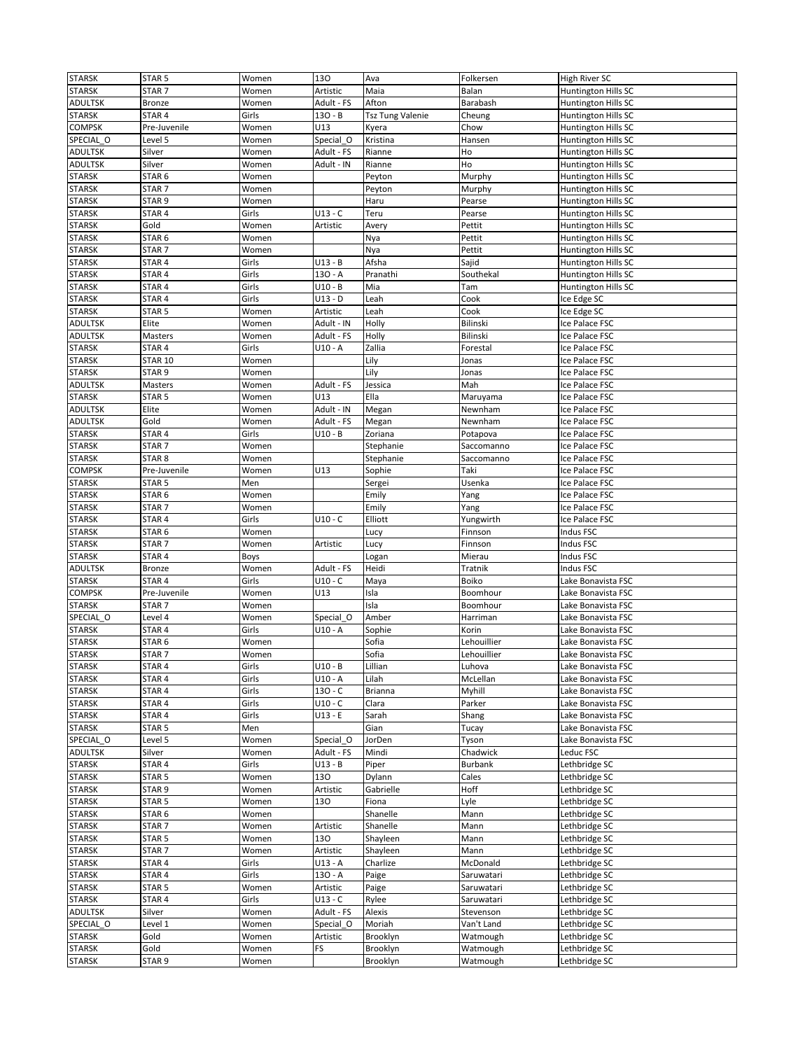| <b>STARSK</b>  | STAR <sub>5</sub> | Women          | 130                   | Ava                     | Folkersen            | High River SC                  |
|----------------|-------------------|----------------|-----------------------|-------------------------|----------------------|--------------------------------|
| <b>STARSK</b>  | STAR <sub>7</sub> | Women          | Artistic              | Maia                    | Balan                | Huntington Hills SC            |
| <b>ADULTSK</b> | <b>Bronze</b>     | Women          | Adult - FS            | Afton                   | Barabash             | Huntington Hills SC            |
| <b>STARSK</b>  | STAR 4            | Girls          | $130 - B$             | <b>Tsz Tung Valenie</b> | Cheung               | Huntington Hills SC            |
| COMPSK         | Pre-Juvenile      | Women          | U13                   | Kyera                   | Chow                 | Huntington Hills SC            |
| SPECIAL O      | Level 5           | Women          | Special O             | Kristina                | Hansen               | Huntington Hills SC            |
| <b>ADULTSK</b> | Silver            | Women          | Adult - FS            | Rianne                  | Ho                   | Huntington Hills SC            |
| <b>ADULTSK</b> | Silver            | Women          | Adult - IN            | Rianne                  | Ho                   | Huntington Hills SC            |
| <b>STARSK</b>  | STAR <sub>6</sub> | Women          |                       | Peyton                  | Murphy               | Huntington Hills SC            |
| <b>STARSK</b>  | STAR <sub>7</sub> | Women          |                       | Peyton                  | Murphy               | Huntington Hills SC            |
| <b>STARSK</b>  | STAR <sub>9</sub> | Women          |                       | Haru                    | Pearse               | Huntington Hills SC            |
| <b>STARSK</b>  | STAR 4            | Girls          | $U13 - C$             | Teru                    | Pearse               | Huntington Hills SC            |
| <b>STARSK</b>  | Gold              | Women          | Artistic              | Avery                   | Pettit               | Huntington Hills SC            |
| <b>STARSK</b>  | STAR <sub>6</sub> | Women          |                       | Nya                     | Pettit               | Huntington Hills SC            |
| <b>STARSK</b>  | STAR <sub>7</sub> | Women          |                       | Nya                     | Pettit               | Huntington Hills SC            |
| <b>STARSK</b>  | STAR 4            | Girls          | $U13 - B$             | Afsha                   | Sajid                | Huntington Hills SC            |
| <b>STARSK</b>  | STAR 4            | Girls          | $130 - A$             | Pranathi                | Southekal            |                                |
|                | STAR 4            | Girls          | $U10 - B$             |                         |                      | Huntington Hills SC            |
| <b>STARSK</b>  |                   | Girls          |                       | Mia                     | Tam                  | Huntington Hills SC            |
| <b>STARSK</b>  | STAR 4            |                | $U13 - D$             | Leah                    | Cook                 | Ice Edge SC                    |
| <b>STARSK</b>  | STAR <sub>5</sub> | Women          | Artistic              | Leah                    | Cook                 | Ice Edge SC                    |
| <b>ADULTSK</b> | Elite             | Women          | Adult - IN            | Holly                   | Bilinski             | Ice Palace FSC                 |
| <b>ADULTSK</b> | Masters           | Women          | Adult - FS            | Holly                   | Bilinski             | Ice Palace FSC                 |
| <b>STARSK</b>  | STAR <sub>4</sub> | Girls          | U10 - A               | Zallia                  | Forestal             | Ice Palace FSC                 |
| <b>STARSK</b>  | <b>STAR 10</b>    | Women          |                       | Lily                    | Jonas                | Ice Palace FSC                 |
| <b>STARSK</b>  | STAR <sub>9</sub> | Women          |                       | Lily                    | Jonas                | Ice Palace FSC                 |
| <b>ADULTSK</b> | Masters           | Women          | Adult - FS            | Jessica                 | Mah                  | Ice Palace FSC                 |
| <b>STARSK</b>  | STAR <sub>5</sub> | Women          | U13                   | Ella                    | Maruyama             | Ice Palace FSC                 |
| <b>ADULTSK</b> | Elite             | Women          | Adult - IN            | Megan                   | Newnham              | Ice Palace FSC                 |
| <b>ADULTSK</b> | Gold              | Women          | Adult - FS            | Megan                   | Newnham              | Ice Palace FSC                 |
| <b>STARSK</b>  | STAR 4            | Girls          | $U10 - B$             | Zoriana                 | Potapova             | Ice Palace FSC                 |
| <b>STARSK</b>  | STAR <sub>7</sub> | Women          |                       | Stephanie               | Saccomanno           | Ice Palace FSC                 |
| <b>STARSK</b>  | STAR <sub>8</sub> | Women          |                       | Stephanie               | Saccomanno           | Ice Palace FSC                 |
| <b>COMPSK</b>  | Pre-Juvenile      | Women          | U13                   | Sophie                  | Taki                 | Ice Palace FSC                 |
| <b>STARSK</b>  | STAR <sub>5</sub> | Men            |                       | Sergei                  | Usenka               | Ice Palace FSC                 |
| <b>STARSK</b>  | STAR <sub>6</sub> | Women          |                       | Emily                   | Yang                 | Ice Palace FSC                 |
| <b>STARSK</b>  | STAR <sub>7</sub> | Women          |                       | Emily                   | Yang                 | Ice Palace FSC                 |
| <b>STARSK</b>  | STAR 4            | Girls          | $U10 - C$             | Elliott                 | Yungwirth            | Ice Palace FSC                 |
| <b>STARSK</b>  | STAR <sub>6</sub> | Women          |                       | Lucy                    | Finnson              | Indus FSC                      |
| <b>STARSK</b>  | STAR <sub>7</sub> | Women          | Artistic              | Lucy                    | Finnson              | Indus FSC                      |
| <b>STARSK</b>  | STAR 4            | Boys           |                       | Logan                   | Mierau               | Indus FSC                      |
| <b>ADULTSK</b> | <b>Bronze</b>     | Women          | Adult - FS            | Heidi                   | Tratnik              | Indus FSC                      |
| <b>STARSK</b>  | STAR <sub>4</sub> | Girls          | $U10 - C$             | Maya                    | Boiko                | Lake Bonavista FSC             |
| <b>COMPSK</b>  | Pre-Juvenile      | Women          | U13                   | Isla                    | Boomhour             | Lake Bonavista FSC             |
| <b>STARSK</b>  | STAR <sub>7</sub> | Women          |                       | Isla                    | Boomhour             | Lake Bonavista FSC             |
| SPECIAL_O      | Level 4           | Women          | Special O             | Amber                   | Harriman             | Lake Bonavista FSC             |
| <b>STARSK</b>  | STAR 4            | Girls          | $U10 - A$             | Sophie                  | Korin                | Lake Bonavista FSC             |
| <b>STARSK</b>  | STAR <sub>6</sub> | Women          |                       | Sofia                   | Lehouillier          | Lake Bonavista FSC             |
| <b>STARSK</b>  | STAR <sub>7</sub> | Women          |                       | Sofia                   | Lehouillier          | Lake Bonavista FSC             |
| <b>STARSK</b>  | STAR 4            | Girls          | $U10 - B$             | Lillian                 | Lunova               | Lake Bonavista FSC             |
| <b>STARSK</b>  | STAR 4            | Girls          | $U10 - A$             | Lilah                   | McLellan             | Lake Bonavista FSC             |
| <b>STARSK</b>  | STAR 4            | Girls          | $130 - C$             | Brianna                 | Myhill               | Lake Bonavista FSC             |
| <b>STARSK</b>  | STAR 4            | Girls          | $U10 - C$             | Clara                   | Parker               | Lake Bonavista FSC             |
| <b>STARSK</b>  | STAR 4            | Girls          | $U13 - E$             | Sarah                   | Shang                | Lake Bonavista FSC             |
| <b>STARSK</b>  | STAR <sub>5</sub> | Men            |                       | Gian                    | Tucay                | Lake Bonavista FSC             |
| SPECIAL_O      | Level 5           | Women          | Special O             | JorDen                  | Tyson                | Lake Bonavista FSC             |
| <b>ADULTSK</b> | Silver            | Women          | Adult - FS            | Mindi                   | Chadwick             | Leduc FSC                      |
| <b>STARSK</b>  | STAR 4            | Girls          | $U13 - B$             | Piper                   | <b>Burbank</b>       | Lethbridge SC                  |
| <b>STARSK</b>  | STAR <sub>5</sub> | Women          | 130                   | Dylann                  | Cales                | Lethbridge SC                  |
| <b>STARSK</b>  | STAR <sub>9</sub> | Women          | Artistic              | Gabrielle               | Hoff                 | Lethbridge SC                  |
| <b>STARSK</b>  | STAR 5            | Women          | 130                   | Fiona                   | Lyle                 | Lethbridge SC                  |
| <b>STARSK</b>  | STAR <sub>6</sub> | Women          |                       | Shanelle                | Mann                 | Lethbridge SC                  |
| <b>STARSK</b>  | STAR <sub>7</sub> | Women          | Artistic              | Shanelle                | Mann                 | Lethbridge SC                  |
| <b>STARSK</b>  | STAR <sub>5</sub> | Women          | 130                   | Shayleen                | Mann                 | Lethbridge SC                  |
| <b>STARSK</b>  | STAR <sub>7</sub> | Women          | Artistic              | Shayleen                | Mann                 | Lethbridge SC                  |
| <b>STARSK</b>  | STAR 4            | Girls          | $U13 - A$             | Charlize                | McDonald             | Lethbridge SC                  |
| <b>STARSK</b>  | STAR 4            | Girls          | $130 - A$             | Paige                   | Saruwatari           | Lethbridge SC                  |
| <b>STARSK</b>  | STAR <sub>5</sub> | Women          | Artistic              | Paige                   | Saruwatari           | Lethbridge SC                  |
| <b>STARSK</b>  | STAR 4            | Girls          | $U13 - C$             | Rylee                   | Saruwatari           | Lethbridge SC                  |
| <b>ADULTSK</b> | Silver            | Women          | Adult - FS            | Alexis                  | Stevenson            | Lethbridge SC                  |
| SPECIAL O      |                   |                |                       |                         | Van't Land           | Lethbridge SC                  |
| <b>STARSK</b>  | Level 1<br>Gold   | Women          | Special O<br>Artistic | Moriah                  |                      |                                |
| <b>STARSK</b>  | Gold              | Women<br>Women | FS                    | Brooklyn<br>Brooklyn    | Watmough<br>Watmough | Lethbridge SC<br>Lethbridge SC |
|                |                   |                |                       |                         |                      |                                |
| <b>STARSK</b>  | STAR <sub>9</sub> | Women          |                       | Brooklyn                | Watmough             | Lethbridge SC                  |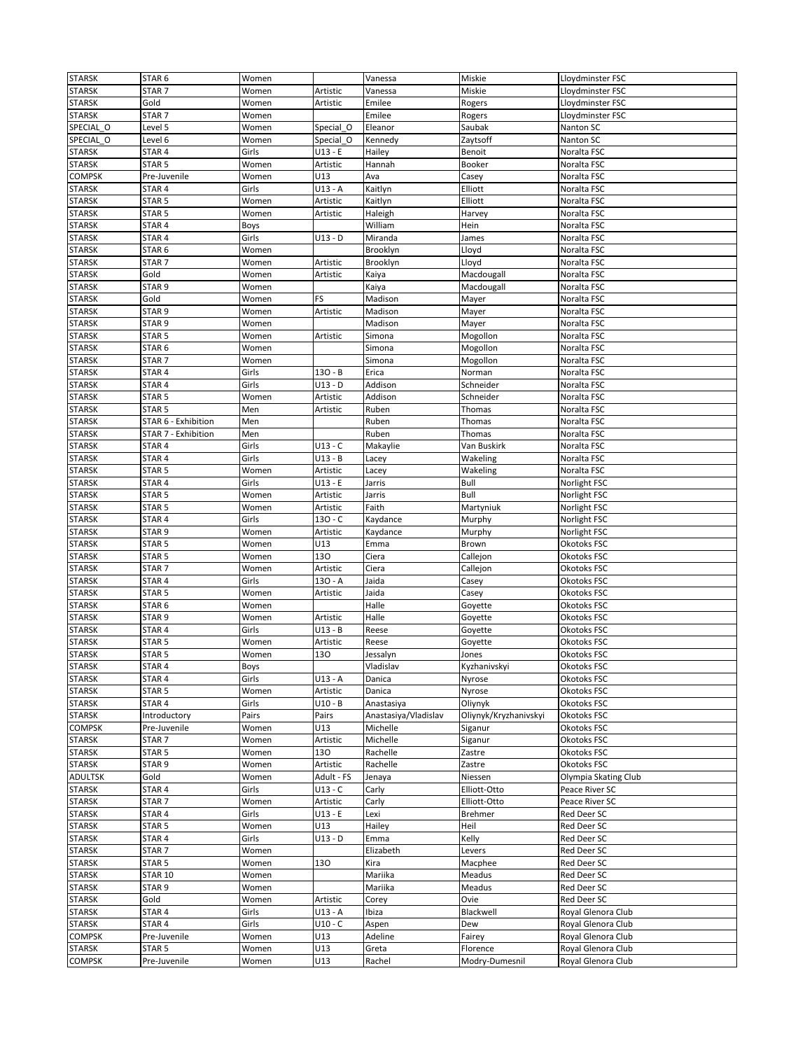| <b>STARSK</b>  | STAR <sub>6</sub>   | Women |            | Vanessa              | Miskie                | Lloydminster FSC     |
|----------------|---------------------|-------|------------|----------------------|-----------------------|----------------------|
| <b>STARSK</b>  | STAR <sub>7</sub>   | Women | Artistic   | Vanessa              | Miskie                | Lloydminster FSC     |
|                |                     |       |            |                      |                       |                      |
| <b>STARSK</b>  | Gold                | Women | Artistic   | Emilee               | Rogers                | Lloydminster FSC     |
| <b>STARSK</b>  | STAR <sub>7</sub>   | Women |            | Emilee               | Rogers                | Lloydminster FSC     |
| SPECIAL_O      | Level 5             | Women | Special O  | Eleanor              | Saubak                | Nanton SC            |
| SPECIAL O      | Level 6             | Women | Special O  | Kennedy              | Zaytsoff              | Nanton SC            |
| <b>STARSK</b>  | STAR 4              | Girls | $U13 - E$  | Hailey               | Benoit                | Noralta FSC          |
| <b>STARSK</b>  | STAR <sub>5</sub>   | Women | Artistic   | Hannah               | <b>Booker</b>         | Noralta FSC          |
| <b>COMPSK</b>  | Pre-Juvenile        |       | U13        |                      | Casey                 | Noralta FSC          |
|                |                     | Women |            | Ava                  |                       |                      |
| <b>STARSK</b>  | STAR 4              | Girls | $U13 - A$  | Kaitlyn              | Elliott               | Noralta FSC          |
| <b>STARSK</b>  | STAR <sub>5</sub>   | Women | Artistic   | Kaitlyn              | Elliott               | Noralta FSC          |
| <b>STARSK</b>  | STAR 5              | Women | Artistic   | Haleigh              | Harvey                | Noralta FSC          |
| <b>STARSK</b>  | STAR 4              | Boys  |            | William              | Hein                  | Noralta FSC          |
| <b>STARSK</b>  | STAR 4              | Girls | $U13 - D$  | Miranda              | James                 | Noralta FSC          |
| <b>STARSK</b>  | STAR <sub>6</sub>   | Women |            | Brooklyn             | Lloyd                 | Noralta FSC          |
|                |                     |       |            |                      |                       |                      |
| <b>STARSK</b>  | STAR <sub>7</sub>   | Women | Artistic   | Brooklyn             | Lloyd                 | Noralta FSC          |
| <b>STARSK</b>  | Gold                | Women | Artistic   | Kaiya                | Macdougall            | Noralta FSC          |
| <b>STARSK</b>  | STAR <sub>9</sub>   | Women |            | Kaiya                | Macdougall            | Noralta FSC          |
| <b>STARSK</b>  | Gold                | Women | FS         | Madison              | Mayer                 | Noralta FSC          |
| <b>STARSK</b>  | STAR <sub>9</sub>   | Women | Artistic   | Madison              | Mayer                 | Noralta FSC          |
| <b>STARSK</b>  | STAR <sub>9</sub>   | Women |            | Madison              | Mayer                 | Noralta FSC          |
|                |                     |       |            |                      |                       |                      |
| <b>STARSK</b>  | STAR <sub>5</sub>   | Women | Artistic   | Simona               | Mogollon              | Noralta FSC          |
| <b>STARSK</b>  | STAR <sub>6</sub>   | Women |            | Simona               | Mogollon              | Noralta FSC          |
| <b>STARSK</b>  | STAR <sub>7</sub>   | Women |            | Simona               | Mogollon              | Noralta FSC          |
| <b>STARSK</b>  | STAR <sub>4</sub>   | Girls | $130 - B$  | Erica                | Norman                | Noralta FSC          |
| <b>STARSK</b>  | STAR 4              | Girls | $U13 - D$  | Addison              | Schneider             | Noralta FSC          |
| <b>STARSK</b>  | STAR <sub>5</sub>   | Women | Artistic   | Addison              | Schneider             | Noralta FSC          |
|                |                     |       |            |                      |                       |                      |
| <b>STARSK</b>  | STAR <sub>5</sub>   | Men   | Artistic   | Ruben                | Thomas                | Noralta FSC          |
| <b>STARSK</b>  | STAR 6 - Exhibition | Men   |            | Ruben                | Thomas                | Noralta FSC          |
| <b>STARSK</b>  | STAR 7 - Exhibition | Men   |            | Ruben                | Thomas                | Noralta FSC          |
| <b>STARSK</b>  | STAR 4              | Girls | $U13 - C$  | Makaylie             | Van Buskirk           | Noralta FSC          |
| <b>STARSK</b>  | STAR 4              | Girls | $U13 - B$  | Lacey                | Wakeling              | Noralta FSC          |
| <b>STARSK</b>  | STAR <sub>5</sub>   | Women | Artistic   | Lacey                | Wakeling              | Noralta FSC          |
|                |                     |       |            |                      |                       |                      |
| <b>STARSK</b>  | STAR 4              | Girls | $U13 - E$  | Jarris               | Bull                  | Norlight FSC         |
| <b>STARSK</b>  | STAR <sub>5</sub>   | Women | Artistic   | Jarris               | Bull                  | Norlight FSC         |
| <b>STARSK</b>  | STAR <sub>5</sub>   | Women | Artistic   | Faith                | Martyniuk             | Norlight FSC         |
| <b>STARSK</b>  | STAR 4              | Girls | $130 - C$  | Kaydance             | Murphy                | Norlight FSC         |
| <b>STARSK</b>  | STAR <sub>9</sub>   | Women | Artistic   | Kaydance             | Murphy                | Norlight FSC         |
| <b>STARSK</b>  | STAR <sub>5</sub>   | Women | U13        | Emma                 | Brown                 | Okotoks FSC          |
|                |                     |       |            |                      |                       |                      |
| <b>STARSK</b>  | STAR <sub>5</sub>   | Women | 130        | Ciera                | Callejon              | Okotoks FSC          |
| <b>STARSK</b>  | STAR <sub>7</sub>   | Women | Artistic   | Ciera                | Callejon              | Okotoks FSC          |
| <b>STARSK</b>  | STAR 4              | Girls | $130 - A$  | Jaida                | Casey                 | Okotoks FSC          |
| <b>STARSK</b>  | STAR <sub>5</sub>   | Women | Artistic   | Jaida                | Casey                 | Okotoks FSC          |
| <b>STARSK</b>  | STAR <sub>6</sub>   | Women |            | Halle                | Goyette               | Okotoks FSC          |
| <b>STARSK</b>  | STAR <sub>9</sub>   | Women | Artistic   | Halle                | Goyette               | Okotoks FSC          |
|                |                     |       |            |                      |                       |                      |
| <b>STARSK</b>  | STAR 4              | Girls | $U13 - B$  | Reese                | Goyette               | Okotoks FSC          |
| <b>STARSK</b>  | STAR <sub>5</sub>   | Women | Artistic   | Reese                | Goyette               | Okotoks FSC          |
| <b>STARSK</b>  | STAR <sub>5</sub>   | Women | 130        | Jessalyn             | Jones                 | Okotoks FSC          |
| <b>STARSK</b>  | STAR 4              | Boys  |            | Vladislav            | Kyzhanivskyi          | Okotoks FSC          |
| <b>STARSK</b>  | STAR 4              | Girls | $U13 - A$  | Danica               | Nyrose                | Okotoks FSC          |
| <b>STARSK</b>  | STAR <sub>5</sub>   | Women | Artistic   | Danica               | Nyrose                | Okotoks FSC          |
|                |                     |       |            | Anastasiya           |                       | Okotoks FSC          |
| <b>STARSK</b>  | STAR 4              | Girls | $U10 - B$  |                      | Oliynyk               |                      |
| <b>STARSK</b>  | Introductory        | Pairs | Pairs      | Anastasiya/Vladislav | Oliynyk/Kryzhanivskyi | Okotoks FSC          |
| <b>COMPSK</b>  | Pre-Juvenile        | Women | U13        | Michelle             | Siganur               | Okotoks FSC          |
| <b>STARSK</b>  | STAR <sub>7</sub>   | Women | Artistic   | Michelle             | Siganur               | Okotoks FSC          |
| <b>STARSK</b>  | STAR <sub>5</sub>   | Women | 130        | Rachelle             | Zastre                | Okotoks FSC          |
| <b>STARSK</b>  | STAR <sub>9</sub>   | Women | Artistic   | Rachelle             | Zastre                | Okotoks FSC          |
|                |                     |       |            |                      |                       |                      |
| <b>ADULTSK</b> | Gold                | Women | Adult - FS | Jenaya               | Niessen               | Olympia Skating Club |
| <b>STARSK</b>  | STAR 4              | Girls | $U13 - C$  | Carly                | Elliott-Otto          | Peace River SC       |
| <b>STARSK</b>  | STAR <sub>7</sub>   | Women | Artistic   | Carly                | Elliott-Otto          | Peace River SC       |
| <b>STARSK</b>  | STAR 4              | Girls | $U13 - E$  | Lexi                 | Brehmer               | Red Deer SC          |
| <b>STARSK</b>  | STAR <sub>5</sub>   | Women | U13        | Hailey               | Heil                  | Red Deer SC          |
| <b>STARSK</b>  | STAR 4              | Girls | U13 - D    | Emma                 | Kelly                 | Red Deer SC          |
|                |                     |       |            |                      |                       |                      |
| <b>STARSK</b>  | STAR <sub>7</sub>   | Women |            | Elizabeth            | Levers                | Red Deer SC          |
| <b>STARSK</b>  | STAR <sub>5</sub>   | Women | 130        | Kira                 | Macphee               | Red Deer SC          |
| <b>STARSK</b>  | <b>STAR 10</b>      | Women |            | Mariika              | Meadus                | Red Deer SC          |
| <b>STARSK</b>  | STAR <sub>9</sub>   | Women |            | Mariika              | Meadus                | Red Deer SC          |
| <b>STARSK</b>  | Gold                | Women | Artistic   | Corey                | Ovie                  | Red Deer SC          |
| <b>STARSK</b>  | STAR 4              | Girls | $U13 - A$  | Ibiza                | Blackwell             | Royal Glenora Club   |
|                |                     |       |            |                      |                       |                      |
| <b>STARSK</b>  | STAR 4              | Girls | $U10 - C$  | Aspen                | Dew                   | Royal Glenora Club   |
| <b>COMPSK</b>  | Pre-Juvenile        | Women | U13        | Adeline              | Fairey                | Royal Glenora Club   |
| <b>STARSK</b>  | STAR <sub>5</sub>   | Women | U13        | Greta                | Florence              | Royal Glenora Club   |
| <b>COMPSK</b>  | Pre-Juvenile        | Women | U13        | Rachel               | Modry-Dumesnil        | Royal Glenora Club   |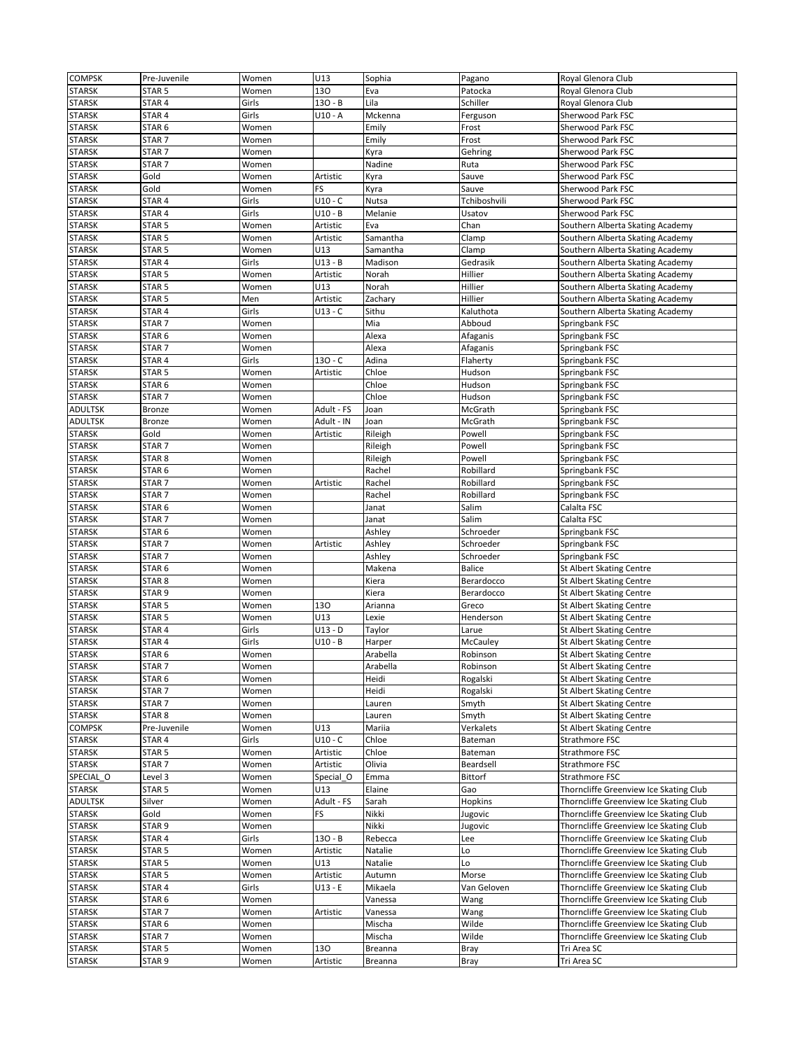| <b>COMPSK</b>  | Pre-Juvenile      | Women | U13        | Sophia   | Pagano         | Royal Glenora Club                     |
|----------------|-------------------|-------|------------|----------|----------------|----------------------------------------|
| <b>STARSK</b>  | STAR 5            | Women | 130        | Eva      | Patocka        | Royal Glenora Club                     |
| <b>STARSK</b>  | STAR 4            | Girls | 130 - B    | Lila     | Schiller       | Royal Glenora Club                     |
|                |                   |       |            |          |                |                                        |
| <b>STARSK</b>  | STAR 4            | Girls | $U10 - A$  | Mckenna  | Ferguson       | Sherwood Park FSC                      |
| <b>STARSK</b>  | STAR <sub>6</sub> | Women |            | Emily    | Frost          | Sherwood Park FSC                      |
| <b>STARSK</b>  | STAR <sub>7</sub> | Women |            | Emily    | Frost          | Sherwood Park FSC                      |
| <b>STARSK</b>  | STAR <sub>7</sub> | Women |            | Kyra     | Gehring        | Sherwood Park FSC                      |
| <b>STARSK</b>  | STAR <sub>7</sub> | Women |            | Nadine   | Ruta           | Sherwood Park FSC                      |
| <b>STARSK</b>  | Gold              | Women | Artistic   | Kyra     | Sauve          | Sherwood Park FSC                      |
| <b>STARSK</b>  | Gold              | Women | FS         | Kyra     | Sauve          | Sherwood Park FSC                      |
| <b>STARSK</b>  | STAR 4            | Girls | $U10 - C$  | Nutsa    | Tchiboshvili   | Sherwood Park FSC                      |
| <b>STARSK</b>  | STAR <sub>4</sub> | Girls | $U10 - B$  | Melanie  | Usatov         | Sherwood Park FSC                      |
|                |                   |       |            |          |                |                                        |
| <b>STARSK</b>  | STAR 5            | Women | Artistic   | Eva      | Chan           | Southern Alberta Skating Academy       |
| <b>STARSK</b>  | STAR <sub>5</sub> | Women | Artistic   | Samantha | Clamp          | Southern Alberta Skating Academy       |
| <b>STARSK</b>  | STAR <sub>5</sub> | Women | U13        | Samantha | Clamp          | Southern Alberta Skating Academy       |
| <b>STARSK</b>  | STAR 4            | Girls | U13 - B    | Madison  | Gedrasik       | Southern Alberta Skating Academy       |
| <b>STARSK</b>  | STAR <sub>5</sub> | Women | Artistic   | Norah    | Hillier        | Southern Alberta Skating Academy       |
| <b>STARSK</b>  | STAR <sub>5</sub> | Women | U13        | Norah    | Hillier        | Southern Alberta Skating Academy       |
| <b>STARSK</b>  | STAR <sub>5</sub> | Men   | Artistic   | Zachary  | Hillier        | Southern Alberta Skating Academy       |
| <b>STARSK</b>  | STAR 4            | Girls | U13 - C    | Sithu    | Kaluthota      | Southern Alberta Skating Academy       |
| <b>STARSK</b>  | STAR <sub>7</sub> | Women |            | Mia      | Abboud         | Springbank FSC                         |
|                |                   |       |            |          |                |                                        |
| <b>STARSK</b>  | STAR 6            | Women |            | Alexa    | Afaganis       | Springbank FSC                         |
| <b>STARSK</b>  | STAR <sub>7</sub> | Women |            | Alexa    | Afaganis       | Springbank FSC                         |
| <b>STARSK</b>  | STAR 4            | Girls | $130 - C$  | Adina    | Flaherty       | Springbank FSC                         |
| <b>STARSK</b>  | STAR <sub>5</sub> | Women | Artistic   | Chloe    | Hudson         | Springbank FSC                         |
| <b>STARSK</b>  | STAR <sub>6</sub> | Women |            | Chloe    | Hudson         | Springbank FSC                         |
| <b>STARSK</b>  | STAR <sub>7</sub> | Women |            | Chloe    | Hudson         | Springbank FSC                         |
| ADULTSK        | <b>Bronze</b>     | Women | Adult - FS | Joan     | McGrath        | Springbank FSC                         |
| ADULTSK        | Bronze            | Women | Adult - IN | Joan     | McGrath        | Springbank FSC                         |
| <b>STARSK</b>  | Gold              | Women |            |          | Powell         | Springbank FSC                         |
|                |                   |       | Artistic   | Rileigh  |                |                                        |
| <b>STARSK</b>  | STAR <sub>7</sub> | Women |            | Rileigh  | Powell         | Springbank FSC                         |
| <b>STARSK</b>  | STAR <sub>8</sub> | Women |            | Rileigh  | Powell         | Springbank FSC                         |
| <b>STARSK</b>  | STAR <sub>6</sub> | Women |            | Rachel   | Robillard      | Springbank FSC                         |
| <b>STARSK</b>  | STAR <sub>7</sub> | Women | Artistic   | Rachel   | Robillard      | Springbank FSC                         |
| <b>STARSK</b>  | STAR <sub>7</sub> | Women |            | Rachel   | Robillard      | Springbank FSC                         |
| <b>STARSK</b>  | STAR <sub>6</sub> | Women |            | Janat    | Salim          | Calalta FSC                            |
| <b>STARSK</b>  | STAR <sub>7</sub> | Women |            | Janat    | Salim          | Calalta FSC                            |
| <b>STARSK</b>  | STAR 6            | Women |            | Ashley   | Schroeder      | Springbank FSC                         |
| <b>STARSK</b>  | STAR <sub>7</sub> | Women | Artistic   | Ashley   | Schroeder      |                                        |
|                |                   |       |            |          |                | Springbank FSC                         |
| <b>STARSK</b>  | STAR <sub>7</sub> | Women |            | Ashley   | Schroeder      | Springbank FSC                         |
| <b>STARSK</b>  | STAR <sub>6</sub> | Women |            | Makena   | <b>Balice</b>  | St Albert Skating Centre               |
| <b>STARSK</b>  | STAR 8            | Women |            | Kiera    | Berardocco     | <b>St Albert Skating Centre</b>        |
| <b>STARSK</b>  | STAR <sub>9</sub> | Women |            | Kiera    | Berardocco     | <b>St Albert Skating Centre</b>        |
| <b>STARSK</b>  | STAR <sub>5</sub> | Women | 130        | Arianna  | Greco          | <b>St Albert Skating Centre</b>        |
| <b>STARSK</b>  | STAR <sub>5</sub> | Women | U13        | Lexie    | Henderson      | <b>St Albert Skating Centre</b>        |
| <b>STARSK</b>  | STAR 4            | Girls | U13 - D    | Taylor   | Larue          | St Albert Skating Centre               |
| <b>STARSK</b>  | STAR 4            | Girls | $U10 - B$  | Harper   | McCauley       | St Albert Skating Centre               |
| <b>STARSK</b>  | STAR 6            | Women |            | Arabella | Robinson       | <b>St Albert Skating Centre</b>        |
|                |                   | Women |            | Arabella | Robinson       | <b>St Albert Skating Centre</b>        |
| <b>STARSK</b>  | STAR <sub>7</sub> |       |            |          |                |                                        |
| <b>STARSK</b>  | STAR 6            | Women |            | Heidi    | Rogalski       | <b>St Albert Skating Centre</b>        |
| <b>STARSK</b>  | STAR <sub>7</sub> | Women |            | Heidi    | Rogalski       | <b>St Albert Skating Centre</b>        |
| <b>STARSK</b>  | STAR <sub>7</sub> | Women |            | Lauren   | Smyth          | <b>St Albert Skating Centre</b>        |
| <b>STARSK</b>  | STAR <sub>8</sub> | Women |            | Lauren   | Smyth          | St Albert Skating Centre               |
| <b>COMPSK</b>  | Pre-Juvenile      | Women | U13        | Mariia   | Verkalets      | <b>St Albert Skating Centre</b>        |
| <b>STARSK</b>  | STAR 4            | Girls | $U10 - C$  | Chloe    | Bateman        | Strathmore FSC                         |
| <b>STARSK</b>  | STAR <sub>5</sub> | Women | Artistic   | Chloe    | Bateman        | Strathmore FSC                         |
| <b>STARSK</b>  | STAR 7            | Women | Artistic   | Olivia   | Beardsell      | Strathmore FSC                         |
| SPECIAL O      | Level 3           | Women | Special O  | Emma     | Bittorf        | Strathmore FSC                         |
|                |                   |       |            |          |                | Thorncliffe Greenview Ice Skating Club |
| <b>STARSK</b>  | STAR <sub>5</sub> | Women | U13        | Elaine   | Gao            |                                        |
| <b>ADULTSK</b> | Silver            | Women | Adult - FS | Sarah    | <b>Hopkins</b> | Thorncliffe Greenview Ice Skating Club |
| <b>STARSK</b>  | Gold              | Women | FS         | Nikki    | Jugovic        | Thorncliffe Greenview Ice Skating Club |
| <b>STARSK</b>  | STAR <sub>9</sub> | Women |            | Nikki    | Jugovic        | Thorncliffe Greenview Ice Skating Club |
| <b>STARSK</b>  | STAR 4            | Girls | $130 - B$  | Rebecca  | Lee            | Thorncliffe Greenview Ice Skating Club |
| <b>STARSK</b>  | STAR 5            | Women | Artistic   | Natalie  | Lo             | Thorncliffe Greenview Ice Skating Club |
| <b>STARSK</b>  | STAR <sub>5</sub> | Women | U13        | Natalie  | Lo             | Thorncliffe Greenview Ice Skating Club |
| <b>STARSK</b>  | STAR 5            | Women | Artistic   | Autumn   | Morse          | Thorncliffe Greenview Ice Skating Club |
| <b>STARSK</b>  | STAR 4            | Girls | $U13 - E$  | Mikaela  | Van Geloven    | Thorncliffe Greenview Ice Skating Club |
|                |                   |       |            |          |                |                                        |
| <b>STARSK</b>  | STAR 6            | Women |            | Vanessa  | Wang           | Thorncliffe Greenview Ice Skating Club |
| <b>STARSK</b>  | STAR <sub>7</sub> | Women | Artistic   | Vanessa  | Wang           | Thorncliffe Greenview Ice Skating Club |
| <b>STARSK</b>  | STAR 6            | Women |            | Mischa   | Wilde          | Thorncliffe Greenview Ice Skating Club |
| <b>STARSK</b>  | STAR 7            | Women |            | Mischa   | Wilde          | Thorncliffe Greenview Ice Skating Club |
|                |                   |       |            |          |                |                                        |
| <b>STARSK</b>  | STAR 5            | Women | 130        | Breanna  | Bray           | Tri Area SC                            |